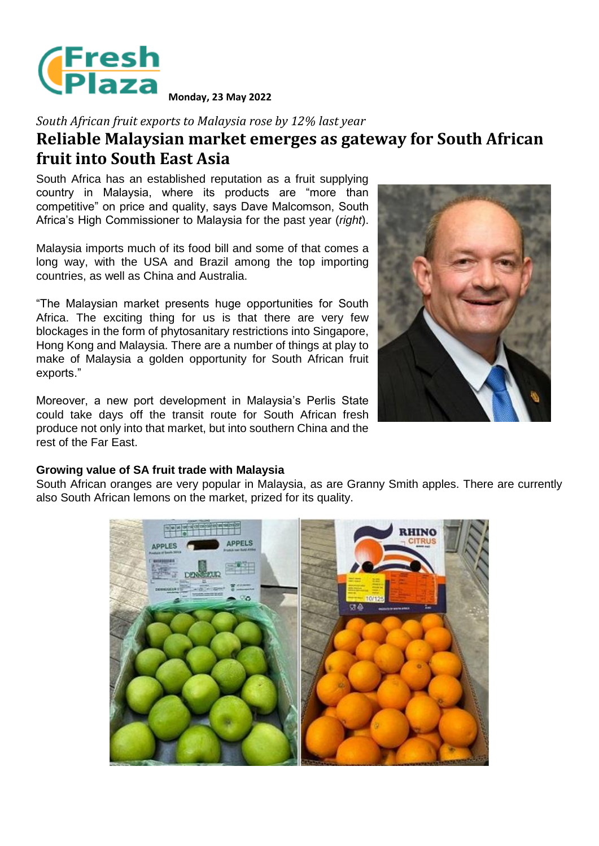

**Monday, 23 May 2022**

*South African fruit exports to Malaysia rose by 12% last year* **Reliable Malaysian market emerges as gateway for South African fruit into South East Asia**

South Africa has an established reputation as a fruit supplying country in Malaysia, where its products are "more than competitive" on price and quality, says Dave Malcomson, South Africa's High Commissioner to Malaysia for the past year (*right*).

Malaysia imports much of its food bill and some of that comes a long way, with the USA and Brazil among the top importing countries, as well as China and Australia.

"The Malaysian market presents huge opportunities for South Africa. The exciting thing for us is that there are very few blockages in the form of phytosanitary restrictions into Singapore, Hong Kong and Malaysia. There are a number of things at play to make of Malaysia a golden opportunity for South African fruit exports."

Moreover, a new port development in Malaysia's Perlis State could take days off the transit route for South African fresh produce not only into that market, but into southern China and the rest of the Far East.



## **Growing value of SA fruit trade with Malaysia**

South African oranges are very popular in Malaysia, as are Granny Smith apples. There are currently also South African lemons on the market, prized for its quality.

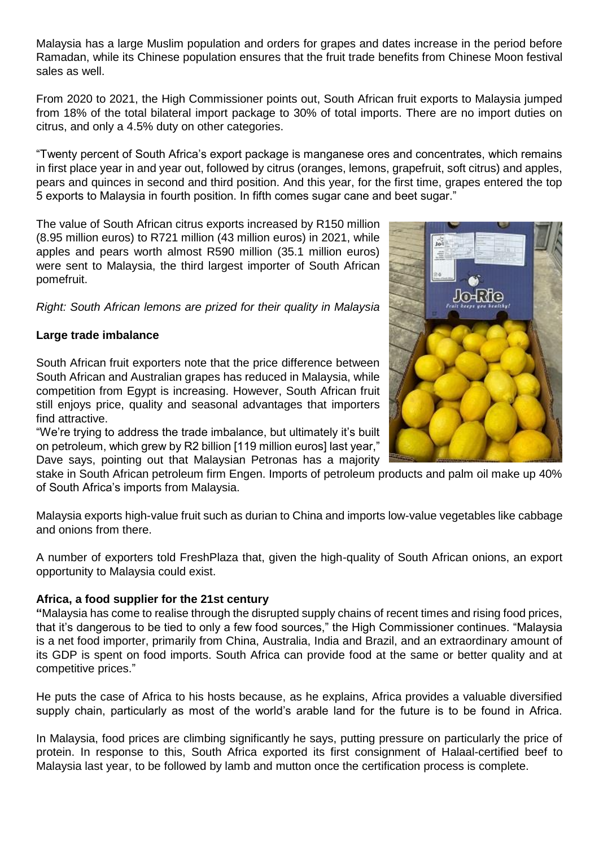Malaysia has a large Muslim population and orders for grapes and dates increase in the period before Ramadan, while its Chinese population ensures that the fruit trade benefits from Chinese Moon festival sales as well.

From 2020 to 2021, the High Commissioner points out, South African fruit exports to Malaysia jumped from 18% of the total bilateral import package to 30% of total imports. There are no import duties on citrus, and only a 4.5% duty on other categories.

"Twenty percent of South Africa's export package is manganese ores and concentrates, which remains in first place year in and year out, followed by citrus (oranges, lemons, grapefruit, soft citrus) and apples, pears and quinces in second and third position. And this year, for the first time, grapes entered the top 5 exports to Malaysia in fourth position. In fifth comes sugar cane and beet sugar."

The value of South African citrus exports increased by R150 million (8.95 million euros) to R721 million (43 million euros) in 2021, while apples and pears worth almost R590 million (35.1 million euros) were sent to Malaysia, the third largest importer of South African pomefruit.

*Right: South African lemons are prized for their quality in Malaysia*

## **Large trade imbalance**

South African fruit exporters note that the price difference between South African and Australian grapes has reduced in Malaysia, while competition from Egypt is increasing. However, South African fruit still enjoys price, quality and seasonal advantages that importers find attractive.

"We're trying to address the trade imbalance, but ultimately it's built on petroleum, which grew by R2 billion [119 million euros] last year," Dave says, pointing out that Malaysian Petronas has a majority

stake in South African petroleum firm Engen. Imports of petroleum products and palm oil make up 40% of South Africa's imports from Malaysia.

Malaysia exports high-value fruit such as durian to China and imports low-value vegetables like cabbage and onions from there.

A number of exporters told FreshPlaza that, given the high-quality of South African onions, an export opportunity to Malaysia could exist.

## **Africa, a food supplier for the 21st century**

**"**Malaysia has come to realise through the disrupted supply chains of recent times and rising food prices, that it's dangerous to be tied to only a few food sources," the High Commissioner continues. "Malaysia is a net food importer, primarily from China, Australia, India and Brazil, and an extraordinary amount of its GDP is spent on food imports. South Africa can provide food at the same or better quality and at competitive prices."

He puts the case of Africa to his hosts because, as he explains, Africa provides a valuable diversified supply chain, particularly as most of the world's arable land for the future is to be found in Africa.

In Malaysia, food prices are climbing significantly he says, putting pressure on particularly the price of protein. In response to this, South Africa exported its first consignment of Halaal-certified beef to Malaysia last year, to be followed by lamb and mutton once the certification process is complete.

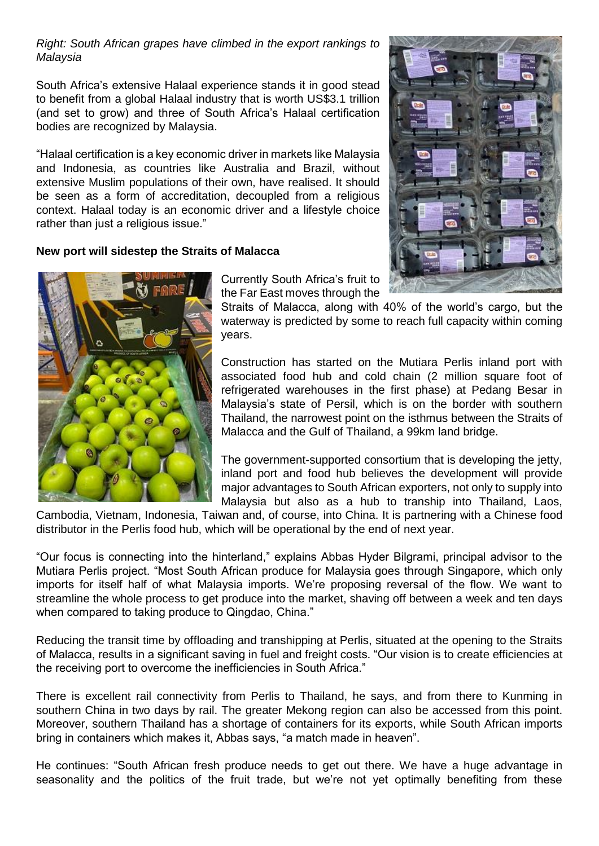*Right: South African grapes have climbed in the export rankings to Malaysia*

South Africa's extensive Halaal experience stands it in good stead to benefit from a global Halaal industry that is worth US\$3.1 trillion (and set to grow) and three of South Africa's Halaal certification bodies are recognized by Malaysia.

"Halaal certification is a key economic driver in markets like Malaysia and Indonesia, as countries like Australia and Brazil, without extensive Muslim populations of their own, have realised. It should be seen as a form of accreditation, decoupled from a religious context. Halaal today is an economic driver and a lifestyle choice rather than just a religious issue."

## **New port will sidestep the Straits of Malacca**



Currently South Africa's fruit to the Far East moves through the

Straits of Malacca, along with 40% of the world's cargo, but the waterway is predicted by some to reach full capacity within coming years.

Construction has started on the Mutiara Perlis inland port with associated food hub and cold chain (2 million square foot of refrigerated warehouses in the first phase) at Pedang Besar in Malaysia's state of Persil, which is on the border with southern Thailand, the narrowest point on the isthmus between the Straits of Malacca and the Gulf of Thailand, a 99km land bridge.

The government-supported consortium that is developing the jetty, inland port and food hub believes the development will provide major advantages to South African exporters, not only to supply into Malaysia but also as a hub to tranship into Thailand, Laos,

Cambodia, Vietnam, Indonesia, Taiwan and, of course, into China. It is partnering with a Chinese food distributor in the Perlis food hub, which will be operational by the end of next year.

"Our focus is connecting into the hinterland," explains Abbas Hyder Bilgrami, principal advisor to the Mutiara Perlis project. "Most South African produce for Malaysia goes through Singapore, which only imports for itself half of what Malaysia imports. We're proposing reversal of the flow. We want to streamline the whole process to get produce into the market, shaving off between a week and ten days when compared to taking produce to Qingdao, China."

Reducing the transit time by offloading and transhipping at Perlis, situated at the opening to the Straits of Malacca, results in a significant saving in fuel and freight costs. "Our vision is to create efficiencies at the receiving port to overcome the inefficiencies in South Africa."

There is excellent rail connectivity from Perlis to Thailand, he says, and from there to Kunming in southern China in two days by rail. The greater Mekong region can also be accessed from this point. Moreover, southern Thailand has a shortage of containers for its exports, while South African imports bring in containers which makes it, Abbas says, "a match made in heaven".

He continues: "South African fresh produce needs to get out there. We have a huge advantage in seasonality and the politics of the fruit trade, but we're not yet optimally benefiting from these